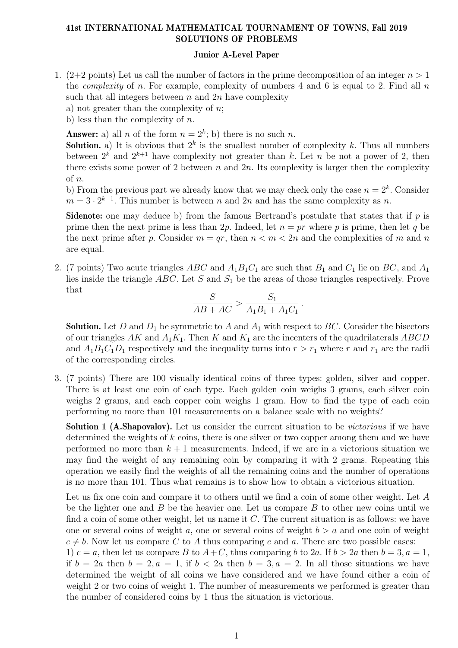## 41st INTERNATIONAL MATHEMATICAL TOURNAMENT OF TOWNS, Fall 2019 SOLUTIONS OF PROBLEMS

## Junior A-Level Paper

- 1.  $(2+2 \text{ points})$  Let us call the number of factors in the prime decomposition of an integer  $n > 1$ the *complexity* of n. For example, complexity of numbers 4 and 6 is equal to 2. Find all  $n$ such that all integers between  $n$  and  $2n$  have complexity
	- a) not greater than the complexity of  $n$ ;
	- b) less than the complexity of  $n$ .

**Answer:** a) all *n* of the form  $n = 2^k$ ; b) there is no such *n*.

**Solution.** a) It is obvious that  $2^k$  is the smallest number of complexity k. Thus all numbers between  $2^k$  and  $2^{k+1}$  have complexity not greater than k. Let n be not a power of 2, then there exists some power of 2 between n and  $2n$ . Its complexity is larger then the complexity of n.

b) From the previous part we already know that we may check only the case  $n = 2<sup>k</sup>$ . Consider  $m = 3 \cdot 2^{k-1}$ . This number is between n and  $2n$  and has the same complexity as n.

**Sidenote:** one may deduce b) from the famous Bertrand's postulate that states that if  $p$  is prime then the next prime is less than 2p. Indeed, let  $n = pr$  where p is prime, then let q be the next prime after p. Consider  $m = qr$ , then  $n < m < 2n$  and the complexities of m and n are equal.

2. (7 points) Two acute triangles ABC and  $A_1B_1C_1$  are such that  $B_1$  and  $C_1$  lie on BC, and  $A_1$ lies inside the triangle ABC. Let S and  $S_1$  be the areas of those triangles respectively. Prove that

$$
\frac{S}{AB + AC} > \frac{S_1}{A_1B_1 + A_1C_1}.
$$

**Solution.** Let D and  $D_1$  be symmetric to A and  $A_1$  with respect to BC. Consider the bisectors of our triangles AK and  $A_1K_1$ . Then K and  $K_1$  are the incenters of the quadrilaterals ABCD and  $A_1B_1C_1D_1$  respectively and the inequality turns into  $r > r_1$  where r and  $r_1$  are the radii of the corresponding circles.

3. (7 points) There are 100 visually identical coins of three types: golden, silver and copper. There is at least one coin of each type. Each golden coin weighs 3 grams, each silver coin weighs 2 grams, and each copper coin weighs 1 gram. How to find the type of each coin performing no more than 101 measurements on a balance scale with no weights?

Solution 1 (A.Shapovalov). Let us consider the current situation to be *victorious* if we have determined the weights of k coins, there is one silver or two copper among them and we have performed no more than  $k+1$  measurements. Indeed, if we are in a victorious situation we may find the weight of any remaining coin by comparing it with 2 grams. Repeating this operation we easily find the weights of all the remaining coins and the number of operations is no more than 101. Thus what remains is to show how to obtain a victorious situation.

Let us fix one coin and compare it to others until we find a coin of some other weight. Let A be the lighter one and  $B$  be the heavier one. Let us compare  $B$  to other new coins until we find a coin of some other weight, let us name it  $C$ . The current situation is as follows: we have one or several coins of weight a, one or several coins of weight  $b > a$  and one coin of weight  $c \neq b$ . Now let us compare C to A thus comparing c and a. There are two possible cases: 1)  $c = a$ , then let us compare B to  $A + C$ , thus comparing b to 2a. If  $b > 2a$  then  $b = 3, a = 1$ , if  $b = 2a$  then  $b = 2, a = 1$ , if  $b < 2a$  then  $b = 3, a = 2$ . In all those situations we have determined the weight of all coins we have considered and we have found either a coin of weight 2 or two coins of weight 1. The number of measurements we performed is greater than

the number of considered coins by 1 thus the situation is victorious.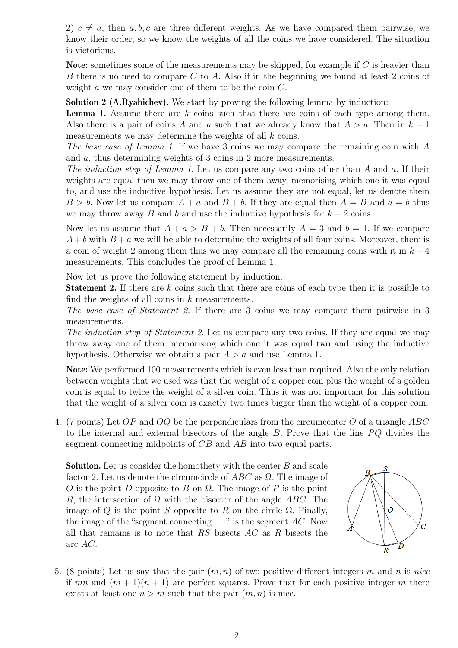2)  $c \neq a$ , then  $a, b, c$  are three different weights. As we have compared them pairwise, we know their order, so we know the weights of all the coins we have considered. The situation is victorious.

**Note:** sometimes some of the measurements may be skipped, for example if  $C$  is heavier than B there is no need to compare C to A. Also if in the beginning we found at least 2 coins of weight a we may consider one of them to be the coin C.

Solution 2 (A.Ryabichev). We start by proving the following lemma by induction:

**Lemma 1.** Assume there are  $k$  coins such that there are coins of each type among them. Also there is a pair of coins A and a such that we already know that  $A > a$ . Then in  $k - 1$ measurements we may determine the weights of all k coins.

The base case of Lemma 1. If we have 3 coins we may compare the remaining coin with A and a, thus determining weights of 3 coins in 2 more measurements.

The induction step of Lemma 1. Let us compare any two coins other than A and a. If their weights are equal then we may throw one of them away, memorising which one it was equal to, and use the inductive hypothesis. Let us assume they are not equal, let us denote them  $B > b$ . Now let us compare  $A + a$  and  $B + b$ . If they are equal then  $A = B$  and  $a = b$  thus we may throw away B and b and use the inductive hypothesis for  $k - 2$  coins.

Now let us assume that  $A + a > B + b$ . Then necessarily  $A = 3$  and  $b = 1$ . If we compare  $A + b$  with  $B + a$  we will be able to determine the weights of all four coins. Moreover, there is a coin of weight 2 among them thus we may compare all the remaining coins with it in  $k-4$ measurements. This concludes the proof of Lemma 1.

Now let us prove the following statement by induction:

**Statement 2.** If there are k coins such that there are coins of each type then it is possible to find the weights of all coins in  $k$  measurements.

The base case of Statement 2. If there are 3 coins we may compare them pairwise in 3 measurements.

The induction step of Statement 2. Let us compare any two coins. If they are equal we may throw away one of them, memorising which one it was equal two and using the inductive hypothesis. Otherwise we obtain a pair  $A > a$  and use Lemma 1.

Note: We performed 100 measurements which is even less than required. Also the only relation between weights that we used was that the weight of a copper coin plus the weight of a golden coin is equal to twice the weight of a silver coin. Thus it was not important for this solution that the weight of a silver coin is exactly two times bigger than the weight of a copper coin.

4. (7 points) Let OP and OQ be the perpendiculars from the circumcenter O of a triangle ABC to the internal and external bisectors of the angle  $B$ . Prove that the line  $PQ$  divides the segment connecting midpoints of CB and AB into two equal parts.

Solution. Let us consider the homothety with the center B and scale factor 2. Let us denote the circumcircle of  $ABC$  as  $\Omega$ . The image of O is the point D opposite to B on  $\Omega$ . The image of P is the point R, the intersection of  $\Omega$  with the bisector of the angle ABC. The image of Q is the point S opposite to R on the circle  $\Omega$ . Finally, the image of the "segment connecting  $\dots$ " is the segment AC. Now all that remains is to note that  $RS$  bisects  $AC$  as R bisects the arc AC.



5. (8 points) Let us say that the pair  $(m, n)$  of two positive different integers m and n is nice if mn and  $(m + 1)(n + 1)$  are perfect squares. Prove that for each positive integer m there exists at least one  $n > m$  such that the pair  $(m, n)$  is nice.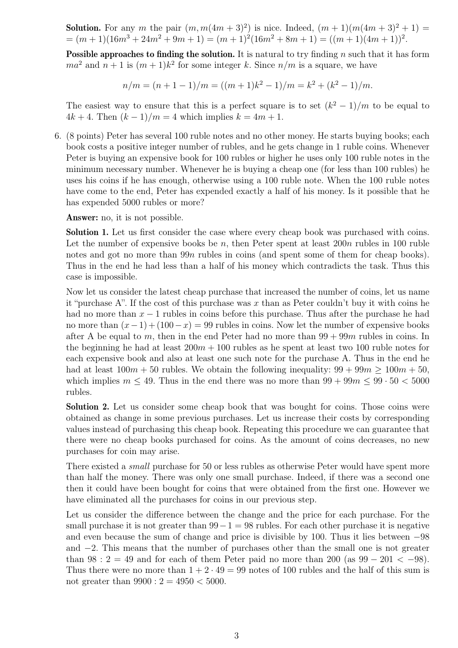**Solution.** For any m the pair  $(m, m(4m + 3)^2)$  is nice. Indeed,  $(m + 1)(m(4m + 3)^2 + 1)$  $= (m+1)(16m^3 + 24m^2 + 9m + 1) = (m+1)^2(16m^2 + 8m + 1) = ((m+1)(4m+1))^2.$ 

**Possible approaches to finding the solution.** It is natural to try finding  $n$  such that it has form  $ma^2$  and  $n+1$  is  $(m+1)k^2$  for some integer k. Since  $n/m$  is a square, we have

 $n/m = (n+1-1)/m = ((m+1)k^2 - 1)/m = k^2 + (k^2 - 1)/m.$ 

The easiest way to ensure that this is a perfect square is to set  $(k^2 - 1)/m$  to be equal to  $4k + 4$ . Then  $(k - 1)/m = 4$  which implies  $k = 4m + 1$ .

6. (8 points) Peter has several 100 ruble notes and no other money. He starts buying books; each book costs a positive integer number of rubles, and he gets change in 1 ruble coins. Whenever Peter is buying an expensive book for 100 rubles or higher he uses only 100 ruble notes in the minimum necessary number. Whenever he is buying a cheap one (for less than 100 rubles) he uses his coins if he has enough, otherwise using a 100 ruble note. When the 100 ruble notes have come to the end, Peter has expended exactly a half of his money. Is it possible that he has expended 5000 rubles or more?

Answer: no, it is not possible.

Solution 1. Let us first consider the case where every cheap book was purchased with coins. Let the number of expensive books be n, then Peter spent at least  $200n$  rubles in 100 ruble notes and got no more than 99*n* rubles in coins (and spent some of them for cheap books). Thus in the end he had less than a half of his money which contradicts the task. Thus this case is impossible.

Now let us consider the latest cheap purchase that increased the number of coins, let us name it "purchase A". If the cost of this purchase was x than as Peter couldn't buy it with coins he had no more than  $x - 1$  rubles in coins before this purchase. Thus after the purchase he had no more than  $(x-1) + (100-x) = 99$  rubles in coins. Now let the number of expensive books after A be equal to m, then in the end Peter had no more than  $99 + 99m$  rubles in coins. In the beginning he had at least  $200m + 100$  rubles as he spent at least two 100 ruble notes for each expensive book and also at least one such note for the purchase A. Thus in the end he had at least  $100m + 50$  rubles. We obtain the following inequality:  $99 + 99m \ge 100m + 50$ , which implies  $m \leq 49$ . Thus in the end there was no more than  $99 + 99m \leq 99 \cdot 50 < 5000$ rubles.

Solution 2. Let us consider some cheap book that was bought for coins. Those coins were obtained as change in some previous purchases. Let us increase their costs by corresponding values instead of purchasing this cheap book. Repeating this procedure we can guarantee that there were no cheap books purchased for coins. As the amount of coins decreases, no new purchases for coin may arise.

There existed a small purchase for 50 or less rubles as otherwise Peter would have spent more than half the money. There was only one small purchase. Indeed, if there was a second one then it could have been bought for coins that were obtained from the first one. However we have eliminated all the purchases for coins in our previous step.

Let us consider the difference between the change and the price for each purchase. For the small purchase it is not greater than  $99-1 = 98$  rubles. For each other purchase it is negative and even because the sum of change and price is divisible by 100. Thus it lies between −98 and −2. This means that the number of purchases other than the small one is not greater than  $98: 2 = 49$  and for each of them Peter paid no more than  $200$  (as  $99 - 201 < -98$ ). Thus there were no more than  $1 + 2 \cdot 49 = 99$  notes of 100 rubles and the half of this sum is not greater than  $9900 : 2 = 4950 < 5000$ .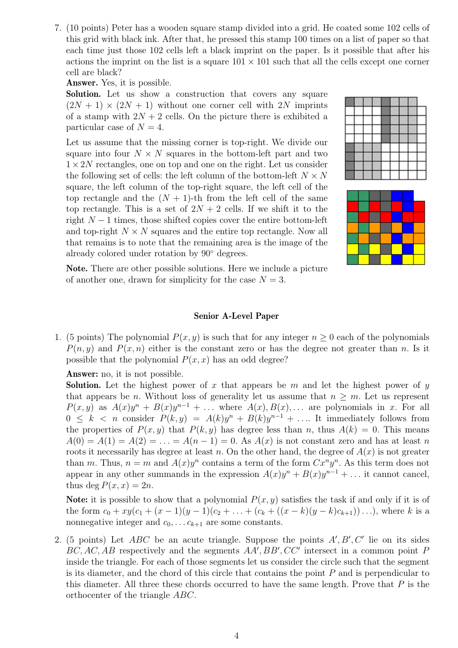7. (10 points) Peter has a wooden square stamp divided into a grid. He coated some 102 cells of this grid with black ink. After that, he pressed this stamp 100 times on a list of paper so that each time just those 102 cells left a black imprint on the paper. Is it possible that after his actions the imprint on the list is a square  $101 \times 101$  such that all the cells except one corner cell are black?

Answer. Yes, it is possible.

Solution. Let us show a construction that covers any square  $(2N + 1) \times (2N + 1)$  without one corner cell with 2N imprints of a stamp with  $2N + 2$  cells. On the picture there is exhibited a particular case of  $N = 4$ .

Let us assume that the missing corner is top-right. We divide our square into four  $N \times N$  squares in the bottom-left part and two  $1 \times 2N$  rectangles, one on top and one on the right. Let us consider the following set of cells: the left column of the bottom-left  $N \times N$ square, the left column of the top-right square, the left cell of the top rectangle and the  $(N + 1)$ -th from the left cell of the same top rectangle. This is a set of  $2N + 2$  cells. If we shift it to the right  $N-1$  times, those shifted copies cover the entire bottom-left and top-right  $N \times N$  squares and the entire top rectangle. Now all that remains is to note that the remaining area is the image of the already colored under rotation by 90◦ degrees.





Note. There are other possible solutions. Here we include a picture of another one, drawn for simplicity for the case  $N = 3$ .

## Senior A-Level Paper

1. (5 points) The polynomial  $P(x, y)$  is such that for any integer  $n > 0$  each of the polynomials  $P(n, y)$  and  $P(x, n)$  either is the constant zero or has the degree not greater than n. Is it possible that the polynomial  $P(x, x)$  has an odd degree?

Answer: no, it is not possible.

**Solution.** Let the highest power of x that appears be m and let the highest power of y that appears be *n*. Without loss of generality let us assume that  $n \geq m$ . Let us represent  $P(x, y)$  as  $A(x)y^{n} + B(x)y^{n-1} + \ldots$  where  $A(x), B(x), \ldots$  are polynomials in x. For all  $0 \leq k \leq n$  consider  $P(k, y) = A(k)y^{n} + B(k)y^{n-1} + \ldots$  It immediately follows from the properties of  $P(x, y)$  that  $P(k, y)$  has degree less than n, thus  $A(k) = 0$ . This means  $A(0) = A(1) = A(2) = \ldots = A(n-1) = 0$ . As  $A(x)$  is not constant zero and has at least n roots it necessarily has degree at least n. On the other hand, the degree of  $A(x)$  is not greater than m. Thus,  $n = m$  and  $A(x)y^n$  contains a term of the form  $Cx^n y^n$ . As this term does not appear in any other summands in the expression  $A(x)y^{n} + B(x)y^{n-1} + \dots$  it cannot cancel, thus deg  $P(x, x) = 2n$ .

Note: it is possible to show that a polynomial  $P(x, y)$  satisfies the task if and only if it is of the form  $c_0 + xy(c_1 + (x - 1)(y - 1)(c_2 + ... + (c_k + ((x - k)(y - k)c_{k+1}))...)$ , where k is a nonnegative integer and  $c_0, \ldots c_{k+1}$  are some constants.

2. (5 points) Let  $ABC$  be an acute triangle. Suppose the points  $A', B', C'$  lie on its sides  $BC, AC, AB$  respectively and the segments  $AA', BB', CC'$  intersect in a common point F inside the triangle. For each of those segments let us consider the circle such that the segment is its diameter, and the chord of this circle that contains the point  $P$  and is perpendicular to this diameter. All three these chords occurred to have the same length. Prove that  $P$  is the orthocenter of the triangle ABC.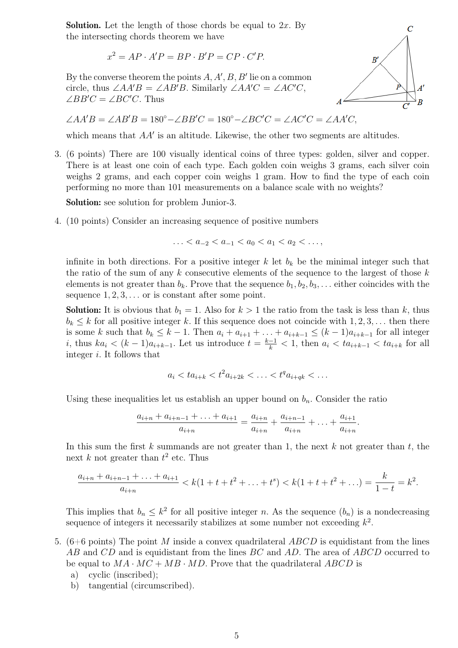**Solution.** Let the length of those chords be equal to  $2x$ . By the intersecting chords theorem we have

$$
x^2 = AP \cdot A'P = BP \cdot B'P = CP \cdot C'P.
$$

By the converse theorem the points  $A, A', B, B'$  lie on a common circle, thus  $\angle AA'B = \angle AB'B$ . Similarly  $\angle AA'C = \angle AC'C$ ,  $\angle BB'C = \angle BC'C$ . Thus

$$
\angle AA'B = \angle AB'B = 180^\circ - \angle BB'C = 180^\circ - \angle BC'C = \angle AC'C = \angle AA'C,
$$

which means that  $AA'$  is an altitude. Likewise, the other two segments are altitudes.

3. (6 points) There are 100 visually identical coins of three types: golden, silver and copper. There is at least one coin of each type. Each golden coin weighs 3 grams, each silver coin weighs 2 grams, and each copper coin weighs 1 gram. How to find the type of each coin performing no more than 101 measurements on a balance scale with no weights?

Solution: see solution for problem Junior-3.

4. (10 points) Consider an increasing sequence of positive numbers

$$
\ldots < a_{-2} < a_{-1} < a_0 < a_1 < a_2 < \ldots,
$$

infinite in both directions. For a positive integer k let  $b_k$  be the minimal integer such that the ratio of the sum of any  $k$  consecutive elements of the sequence to the largest of those  $k$ elements is not greater than  $b_k$ . Prove that the sequence  $b_1, b_2, b_3, \ldots$  either coincides with the sequence  $1, 2, 3, \ldots$  or is constant after some point.

**Solution:** It is obvious that  $b_1 = 1$ . Also for  $k > 1$  the ratio from the task is less than k, thus  $b_k \leq k$  for all positive integer k. If this sequence does not coincide with  $1, 2, 3, \ldots$  then there is some k such that  $b_k \leq k - 1$ . Then  $a_i + a_{i+1} + \ldots + a_{i+k-1} \leq (k-1)a_{i+k-1}$  for all integer i, thus  $ka_i < (k-1)a_{i+k-1}$ . Let us introduce  $t = \frac{k-1}{k} < 1$ , then  $a_i < ta_{i+k-1} < ta_{i+k}$  for all integer i. It follows that

$$
a_i < ta_{i+k} < t^2 a_{i+2k} < \ldots < t^q a_{i+qk} < \ldots
$$

Using these inequalities let us establish an upper bound on  $b_n$ . Consider the ratio

$$
\frac{a_{i+n} + a_{i+n-1} + \ldots + a_{i+1}}{a_{i+n}} = \frac{a_{i+n}}{a_{i+n}} + \frac{a_{i+n-1}}{a_{i+n}} + \ldots + \frac{a_{i+1}}{a_{i+n}}.
$$

In this sum the first k summands are not greater than 1, the next k not greater than t, the next k not greater than  $t^2$  etc. Thus

$$
\frac{a_{i+n} + a_{i+n-1} + \ldots + a_{i+1}}{a_{i+n}} < k(1 + t + t^2 + \ldots + t^s) < k(1 + t + t^2 + \ldots) = \frac{k}{1 - t} = k^2.
$$

This implies that  $b_n \leq k^2$  for all positive integer n. As the sequence  $(b_n)$  is a nondecreasing sequence of integers it necessarily stabilizes at some number not exceeding  $k^2$ .

- 5.  $(6+6 \text{ points})$  The point M inside a convex quadrilateral ABCD is equidistant from the lines AB and CD and is equidistant from the lines BC and AD. The area of ABCD occurred to be equal to  $MA \cdot MC + MB \cdot MD$ . Prove that the quadrilateral ABCD is
	- a) cyclic (inscribed);
	- b) tangential (circumscribed).

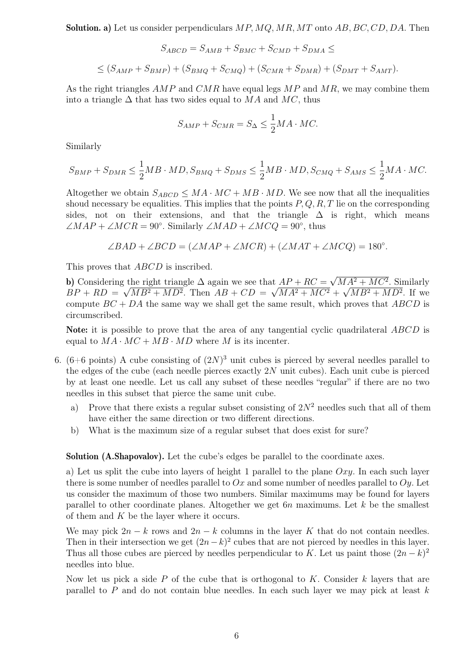**Solution. a)** Let us consider perpendiculars  $MP, MQ, MR, MT$  onto  $AB, BC, CD, DA$ . Then

$$
S_{ABCD} = S_{AMB} + S_{BMC} + S_{CMD} + S_{DMA} \le
$$
  

$$
\le (S_{AMP} + S_{BMP}) + (S_{BMQ} + S_{CMQ}) + (S_{CMR} + S_{DMR}) + (S_{DMT} + S_{AMT}).
$$

As the right triangles  $AMP$  and  $CMR$  have equal legs  $MP$  and  $MR$ , we may combine them into a triangle  $\Delta$  that has two sides equal to  $MA$  and  $MC$ , thus

$$
S_{AMP} + S_{CMR} = S_{\Delta} \le \frac{1}{2} MA \cdot MC.
$$

Similarly

$$
S_{BMP} + S_{DMR} \le \frac{1}{2} MB \cdot MD, S_{BMQ} + S_{DMS} \le \frac{1}{2} MB \cdot MD, S_{CMQ} + S_{AMS} \le \frac{1}{2} MA \cdot MC.
$$

Altogether we obtain  $S_{ABCD} \leq MA \cdot MC + MB \cdot MD$ . We see now that all the inequalities shoud necessary be equalities. This implies that the points  $P, Q, R, T$  lie on the corresponding sides, not on their extensions, and that the triangle  $\Delta$  is right, which means  $\angle MAP + \angle MCR = 90^\circ$ . Similarly  $\angle MAD + \angle MCQ = 90^\circ$ , thus

$$
\angle BAD + \angle BCD = (\angle MAP + \angle MCR) + (\angle MAT + \angle MCQ) = 180^{\circ}.
$$

This proves that *ABCD* is inscribed.

b) Considering the right triangle  $\Delta$  again we see that  $AP + RC =$ √  $\lim_{\epsilon \to 0} \frac{\text{the right triangle } \Delta \text{ again we see that } AP + RC = \sqrt{MA^2 + MC^2}.$  Similarly  $BP + RD = \sqrt{MB^2 + MD^2}$ . Then  $AB + CD = \sqrt{MA^2 + MC^2} + \sqrt{MB^2 + MD^2}$ . If we compute  $BC + DA$  the same way we shall get the same result, which proves that  $ABCD$  is circumscribed.

Note: it is possible to prove that the area of any tangential cyclic quadrilateral ABCD is equal to  $MA \cdot MC + MB \cdot MD$  where M is its incenter.

- 6. (6+6 points) A cube consisting of  $(2N)^3$  unit cubes is pierced by several needles parallel to the edges of the cube (each needle pierces exactly  $2N$  unit cubes). Each unit cube is pierced by at least one needle. Let us call any subset of these needles "regular" if there are no two needles in this subset that pierce the same unit cube.
	- a) Prove that there exists a regular subset consisting of  $2N^2$  needles such that all of them have either the same direction or two different directions.
	- b) What is the maximum size of a regular subset that does exist for sure?

Solution (A.Shapovalov). Let the cube's edges be parallel to the coordinate axes.

a) Let us split the cube into layers of height 1 parallel to the plane  $Oxy$ . In each such layer there is some number of needles parallel to  $Ox$  and some number of needles parallel to  $Oy$ . Let us consider the maximum of those two numbers. Similar maximums may be found for layers parallel to other coordinate planes. Altogether we get  $6n$  maximums. Let k be the smallest of them and  $K$  be the layer where it occurs.

We may pick  $2n - k$  rows and  $2n - k$  columns in the layer K that do not contain needles. Then in their intersection we get  $(2n-k)^2$  cubes that are not pierced by needles in this layer. Thus all those cubes are pierced by needles perpendicular to K. Let us paint those  $(2n - k)^2$ needles into blue.

Now let us pick a side  $P$  of the cube that is orthogonal to  $K$ . Consider  $k$  layers that are parallel to  $P$  and do not contain blue needles. In each such layer we may pick at least  $k$